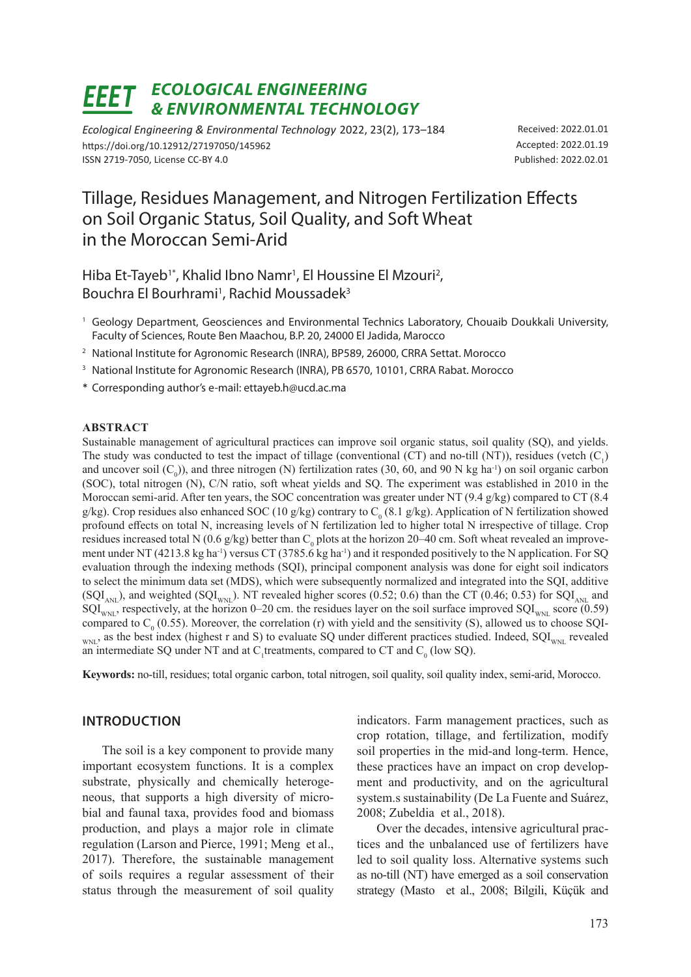#### *ECOLOGICAL ENGINEERING*  FFFT *& ENVIRONMENTAL TECHNOLOGY*

*Ecological Engineering & Environmental Technology* 2022, 23(2), 173–184 https://doi.org/10.12912/27197050/145962 ISSN 2719-7050, License CC-BY 4.0

Received: 2022.01.01 Accepted: 2022.01.19 Published: 2022.02.01

# Tillage, Residues Management, and Nitrogen Fertilization Effects on Soil Organic Status, Soil Quality, and Soft Wheat in the Moroccan Semi-Arid

Hiba Et-Tayeb<sup>1\*</sup>, Khalid Ibno Namr<sup>1</sup>, El Houssine El Mzouri<sup>2</sup>, Bouchra El Bourhrami<sup>1</sup>, Rachid Moussadek<sup>3</sup>

- <sup>1</sup> Geology Department, Geosciences and Environmental Technics Laboratory, Chouaib Doukkali University, Faculty of Sciences, Route Ben Maachou, B.P. 20, 24000 El Jadida, Marocco
- <sup>2</sup> National Institute for Agronomic Research (INRA), BP589, 26000, CRRA Settat. Morocco
- <sup>3</sup> National Institute for Agronomic Research (INRA), PB 6570, 10101, CRRA Rabat. Morocco
- \* Corresponding author's e-mail: ettayeb.h@ucd.ac.ma

# **ABSTRACT**

Sustainable management of agricultural practices can improve soil organic status, soil quality (SQ), and yields. The study was conducted to test the impact of tillage (conventional (CT) and no-till (NT)), residues (vetch  $(C_1)$ and uncover soil  $(C_0)$ ), and three nitrogen (N) fertilization rates (30, 60, and 90 N kg ha<sup>-1</sup>) on soil organic carbon (SOC), total nitrogen (N), C/N ratio, soft wheat yields and SQ. The experiment was established in 2010 in the Moroccan semi-arid. After ten years, the SOC concentration was greater under NT (9.4 g/kg) compared to CT (8.4 g/kg). Crop residues also enhanced SOC (10 g/kg) contrary to  $C_0$  (8.1 g/kg). Application of N fertilization showed profound effects on total N, increasing levels of N fertilization led to higher total N irrespective of tillage. Crop residues increased total N (0.6 g/kg) better than  $C_0$  plots at the horizon 20–40 cm. Soft wheat revealed an improvement under NT (4213.8 kg ha<sup>-1</sup>) versus CT (3785.6 kg ha<sup>-1</sup>) and it responded positively to the N application. For SO evaluation through the indexing methods (SQI), principal component analysis was done for eight soil indicators to select the minimum data set (MDS), which were subsequently normalized and integrated into the SQI, additive (SQI<sub>ANL</sub>), and weighted (SQI<sub>WNL</sub>). NT revealed higher scores (0.52; 0.6) than the CT (0.46; 0.53) for SQI<sub>ANL</sub> and  $\text{SQL}_{\text{WNI}}$ , respectively, at the horizon 0–20 cm. the residues layer on the soil surface improved  $\text{SQL}_{\text{WNI}}$  score (0.59) compared to  $C_0$  (0.55). Moreover, the correlation (r) with yield and the sensitivity (S), allowed us to choose SQI- $_{WNL}$ , as the best index (highest r and S) to evaluate SQ under different practices studied. Indeed, SQI<sub>WNL</sub> revealed an intermediate SQ under NT and at  $C_1$ treatments, compared to CT and  $C_0$  (low SQ).

**Keywords:** no-till, residues; total organic carbon, total nitrogen, soil quality, soil quality index, semi-arid, Morocco.

# **INTRODUCTION**

The soil is a key component to provide many important ecosystem functions. It is a complex substrate, physically and chemically heterogeneous, that supports a high diversity of microbial and faunal taxa, provides food and biomass production, and plays a major role in climate regulation (Larson and Pierce, 1991; Meng et al., 2017). Therefore, the sustainable management of soils requires a regular assessment of their status through the measurement of soil quality

indicators. Farm management practices, such as crop rotation, tillage, and fertilization, modify soil properties in the mid-and long-term. Hence, these practices have an impact on crop development and productivity, and on the agricultural system.s sustainability (De La Fuente and Suárez, 2008; Zubeldia et al., 2018).

Over the decades, intensive agricultural practices and the unbalanced use of fertilizers have led to soil quality loss. Alternative systems such as no-till (NT) have emerged as a soil conservation strategy (Masto et al., 2008; Bilgili, Küçük and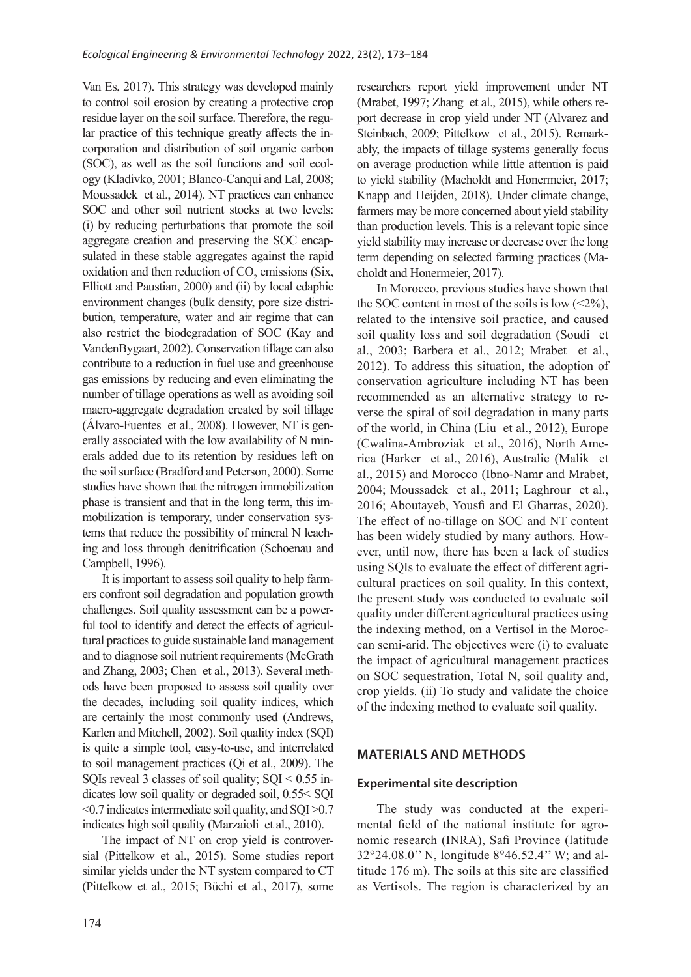Van Es, 2017). This strategy was developed mainly to control soil erosion by creating a protective crop residue layer on the soil surface. Therefore, the regular practice of this technique greatly affects the incorporation and distribution of soil organic carbon (SOC), as well as the soil functions and soil ecology (Kladivko, 2001; Blanco-Canqui and Lal, 2008; Moussadek et al., 2014). NT practices can enhance SOC and other soil nutrient stocks at two levels: (i) by reducing perturbations that promote the soil aggregate creation and preserving the SOC encapsulated in these stable aggregates against the rapid oxidation and then reduction of  $CO_2$  emissions (Six, Elliott and Paustian, 2000) and (ii) by local edaphic environment changes (bulk density, pore size distribution, temperature, water and air regime that can also restrict the biodegradation of SOC (Kay and VandenBygaart, 2002). Conservation tillage can also contribute to a reduction in fuel use and greenhouse gas emissions by reducing and even eliminating the number of tillage operations as well as avoiding soil macro-aggregate degradation created by soil tillage (Álvaro-Fuentes et al., 2008). However, NT is generally associated with the low availability of N minerals added due to its retention by residues left on the soil surface (Bradford and Peterson, 2000). Some studies have shown that the nitrogen immobilization phase is transient and that in the long term, this immobilization is temporary, under conservation systems that reduce the possibility of mineral N leaching and loss through denitrification (Schoenau and Campbell, 1996).

It is important to assess soil quality to help farmers confront soil degradation and population growth challenges. Soil quality assessment can be a powerful tool to identify and detect the effects of agricultural practices to guide sustainable land management and to diagnose soil nutrient requirements (McGrath and Zhang, 2003; Chen et al., 2013). Several methods have been proposed to assess soil quality over the decades, including soil quality indices, which are certainly the most commonly used (Andrews, Karlen and Mitchell, 2002). Soil quality index (SQI) is quite a simple tool, easy-to-use, and interrelated to soil management practices (Qi et al., 2009). The SQIs reveal 3 classes of soil quality;  $SQI < 0.55$  indicates low soil quality or degraded soil, 0.55< SQI <0.7 indicates intermediate soil quality, and SQI >0.7 indicates high soil quality (Marzaioli et al., 2010).

The impact of NT on crop yield is controversial (Pittelkow et al., 2015). Some studies report similar yields under the NT system compared to CT (Pittelkow et al., 2015; Büchi et al., 2017), some researchers report yield improvement under NT (Mrabet, 1997; Zhang et al., 2015), while others report decrease in crop yield under NT (Alvarez and Steinbach, 2009; Pittelkow et al., 2015). Remarkably, the impacts of tillage systems generally focus on average production while little attention is paid to yield stability (Macholdt and Honermeier, 2017; Knapp and Heijden, 2018). Under climate change, farmers may be more concerned about yield stability than production levels. This is a relevant topic since yield stability may increase or decrease over the long term depending on selected farming practices (Macholdt and Honermeier, 2017).

In Morocco, previous studies have shown that the SOC content in most of the soils is low  $(\leq 2\%)$ , related to the intensive soil practice, and caused soil quality loss and soil degradation (Soudi et al., 2003; Barbera et al., 2012; Mrabet et al., 2012). To address this situation, the adoption of conservation agriculture including NT has been recommended as an alternative strategy to reverse the spiral of soil degradation in many parts of the world, in China (Liu et al., 2012), Europe (Cwalina-Ambroziak et al., 2016), North America (Harker et al., 2016), Australie (Malik et al., 2015) and Morocco (Ibno-Namr and Mrabet, 2004; Moussadek et al., 2011; Laghrour et al., 2016; Aboutayeb, Yousfi and El Gharras, 2020). The effect of no-tillage on SOC and NT content has been widely studied by many authors. However, until now, there has been a lack of studies using SQIs to evaluate the effect of different agricultural practices on soil quality. In this context, the present study was conducted to evaluate soil quality under different agricultural practices using the indexing method, on a Vertisol in the Moroccan semi-arid. The objectives were (i) to evaluate the impact of agricultural management practices on SOC sequestration, Total N, soil quality and, crop yields. (ii) To study and validate the choice of the indexing method to evaluate soil quality.

# **MATERIALS AND METHODS**

# **Experimental site description**

The study was conducted at the experimental field of the national institute for agronomic research (INRA), Safi Province (latitude 32°24.08.0'' N, longitude 8°46.52.4'' W; and altitude 176 m). The soils at this site are classified as Vertisols. The region is characterized by an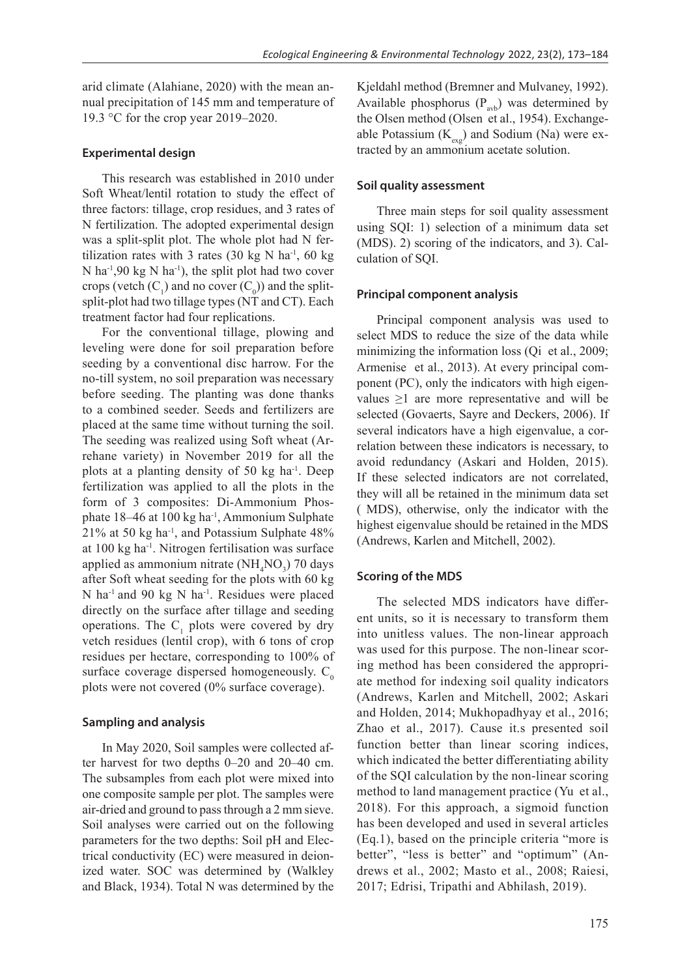arid climate (Alahiane, 2020) with the mean annual precipitation of 145 mm and temperature of 19.3 °C for the crop year 2019–2020.

# **Experimental design**

This research was established in 2010 under Soft Wheat/lentil rotation to study the effect of three factors: tillage, crop residues, and 3 rates of N fertilization. The adopted experimental design was a split-split plot. The whole plot had N fertilization rates with 3 rates  $(30 \text{ kg N} \text{ ha}^{-1}, 60 \text{ kg})$  $N$  ha<sup>-1</sup>,90 kg  $N$  ha<sup>-1</sup>), the split plot had two cover crops (vetch  $(C_1)$  and no cover  $(C_0)$ ) and the splitsplit-plot had two tillage types (NT and CT). Each treatment factor had four replications.

For the conventional tillage, plowing and leveling were done for soil preparation before seeding by a conventional disc harrow. For the no-till system, no soil preparation was necessary before seeding. The planting was done thanks to a combined seeder. Seeds and fertilizers are placed at the same time without turning the soil. The seeding was realized using Soft wheat (Arrehane variety) in November 2019 for all the plots at a planting density of 50 kg ha $^{-1}$ . Deep fertilization was applied to all the plots in the form of 3 composites: Di-Ammonium Phosphate 18–46 at 100 kg ha-1, Ammonium Sulphate  $21\%$  at 50 kg ha<sup>-1</sup>, and Potassium Sulphate 48% at 100 kg ha-1. Nitrogen fertilisation was surface applied as ammonium nitrate  $(NH_4NO_3)$  70 days after Soft wheat seeding for the plots with 60 kg N ha<sup>-1</sup> and 90 kg N ha<sup>-1</sup>. Residues were placed directly on the surface after tillage and seeding operations. The  $C_1$  plots were covered by dry vetch residues (lentil crop), with 6 tons of crop residues per hectare, corresponding to 100% of surface coverage dispersed homogeneously.  $C_0$ plots were not covered (0% surface coverage).

# **Sampling and analysis**

In May 2020, Soil samples were collected after harvest for two depths 0–20 and 20–40 cm. The subsamples from each plot were mixed into one composite sample per plot. The samples were air-dried and ground to pass through a 2 mm sieve. Soil analyses were carried out on the following parameters for the two depths: Soil pH and Electrical conductivity (EC) were measured in deionized water. SOC was determined by (Walkley and Black, 1934). Total N was determined by the

Kjeldahl method (Bremner and Mulvaney, 1992). Available phosphorus  $(P_{avb})$  was determined by the Olsen method (Olsen et al., 1954). Exchangeable Potassium  $(K_{\text{ex}})$  and Sodium (Na) were extracted by an ammonium acetate solution.

# **Soil quality assessment**

Three main steps for soil quality assessment using SQI: 1) selection of a minimum data set (MDS). 2) scoring of the indicators, and 3). Calculation of SQI.

# **Principal component analysis**

Principal component analysis was used to select MDS to reduce the size of the data while minimizing the information loss (Oi et al., 2009; Armenise et al., 2013). At every principal component (PC), only the indicators with high eigenvalues ≥1 are more representative and will be selected (Govaerts, Sayre and Deckers, 2006). If several indicators have a high eigenvalue, a correlation between these indicators is necessary, to avoid redundancy (Askari and Holden, 2015). If these selected indicators are not correlated, they will all be retained in the minimum data set ( MDS), otherwise, only the indicator with the highest eigenvalue should be retained in the MDS (Andrews, Karlen and Mitchell, 2002).

# **Scoring of the MDS**

The selected MDS indicators have different units, so it is necessary to transform them into unitless values. The non-linear approach was used for this purpose. The non-linear scoring method has been considered the appropriate method for indexing soil quality indicators (Andrews, Karlen and Mitchell, 2002; Askari and Holden, 2014; Mukhopadhyay et al., 2016; Zhao et al., 2017). Cause it.s presented soil function better than linear scoring indices, which indicated the better differentiating ability of the SQI calculation by the non-linear scoring method to land management practice (Yu et al., 2018). For this approach, a sigmoid function has been developed and used in several articles (Eq.1), based on the principle criteria "more is better", "less is better" and "optimum" (Andrews et al., 2002; Masto et al., 2008; Raiesi, 2017; Edrisi, Tripathi and Abhilash, 2019).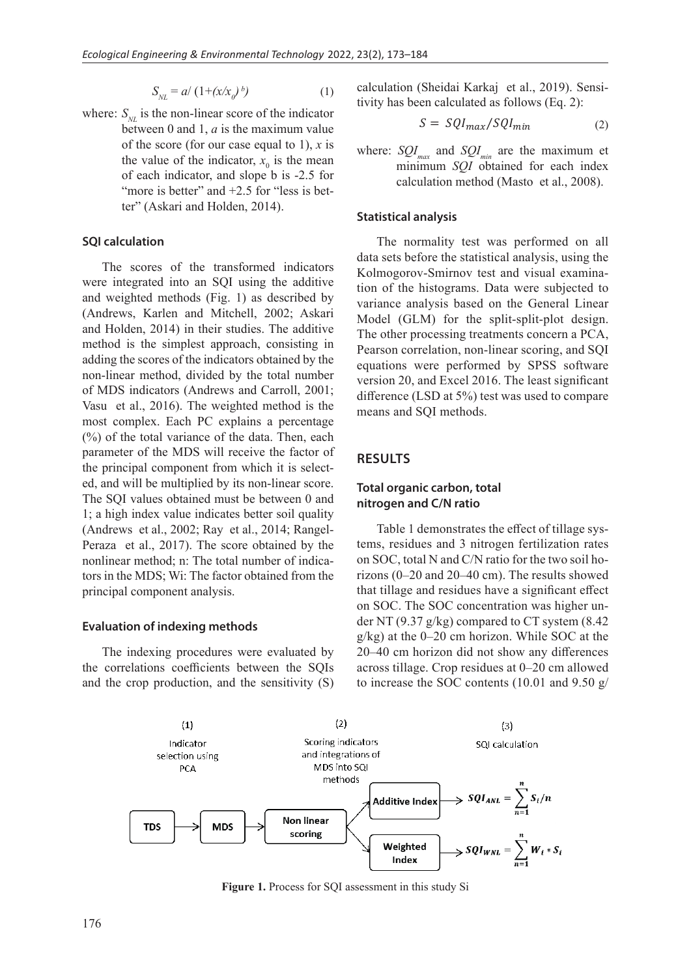$$
S_{NL} = a/\left(1 + \left(\frac{x}{x_0}\right)^b\right) \tag{1}
$$

where:  $S_{\scriptscriptstyle{NI}}$  is the non-linear score of the indicator between 0 and 1, *a* is the maximum value of the score (for our case equal to 1), *x* is the value of the indicator,  $x_0$  is the mean of each indicator, and slope b is -2.5 for "more is better" and  $+2.5$  for "less is better" (Askari and Holden, 2014).

#### **SQI calculation**

The scores of the transformed indicators were integrated into an SQI using the additive and weighted methods (Fig. 1) as described by (Andrews, Karlen and Mitchell, 2002; Askari and Holden, 2014) in their studies. The additive method is the simplest approach, consisting in adding the scores of the indicators obtained by the non-linear method, divided by the total number of MDS indicators (Andrews and Carroll, 2001; Vasu et al., 2016). The weighted method is the most complex. Each PC explains a percentage (%) of the total variance of the data. Then, each parameter of the MDS will receive the factor of the principal component from which it is selected, and will be multiplied by its non-linear score. The SQI values obtained must be between 0 and 1; a high index value indicates better soil quality (Andrews et al., 2002; Ray et al., 2014; Rangel-Peraza et al., 2017). The score obtained by the nonlinear method; n: The total number of indicators in the MDS; Wi: The factor obtained from the principal component analysis.

#### **Evaluation of indexing methods**

The indexing procedures were evaluated by the correlations coefficients between the SQIs and the crop production, and the sensitivity (S) calculation (Sheidai Karkaj et al., 2019). Sensitivity has been calculated as follows (Eq. 2):

$$
S = \frac{SQI_{max}}{SQI_{min}} \tag{2}
$$

where:  $SQL_{max}$  and  $SQL_{min}$  are the maximum et minimum *SQI* obtained for each index calculation method (Masto et al., 2008).

#### **Statistical analysis**

The normality test was performed on all data sets before the statistical analysis, using the Kolmogorov-Smirnov test and visual examination of the histograms. Data were subjected to variance analysis based on the General Linear Model (GLM) for the split-split-plot design. The other processing treatments concern a PCA, Pearson correlation, non-linear scoring, and SQI equations were performed by SPSS software version 20, and Excel 2016. The least significant difference (LSD at  $5\%$ ) test was used to compare means and SQI methods.

# **RESULTS**

# **Total organic carbon, total nitrogen and C/N ratio**

Table 1 demonstrates the effect of tillage systems, residues and 3 nitrogen fertilization rates on SOC, total N and C/N ratio for the two soil horizons (0–20 and 20–40 cm). The results showed that tillage and residues have a significant effect on SOC. The SOC concentration was higher under NT (9.37 g/kg) compared to CT system (8.42 g/kg) at the 0–20 cm horizon. While SOC at the 20–40 cm horizon did not show any differences across tillage. Crop residues at 0–20 cm allowed to increase the SOC contents (10.01 and 9.50 g/



**Figure 1.** Process for SQI assessment in this study Si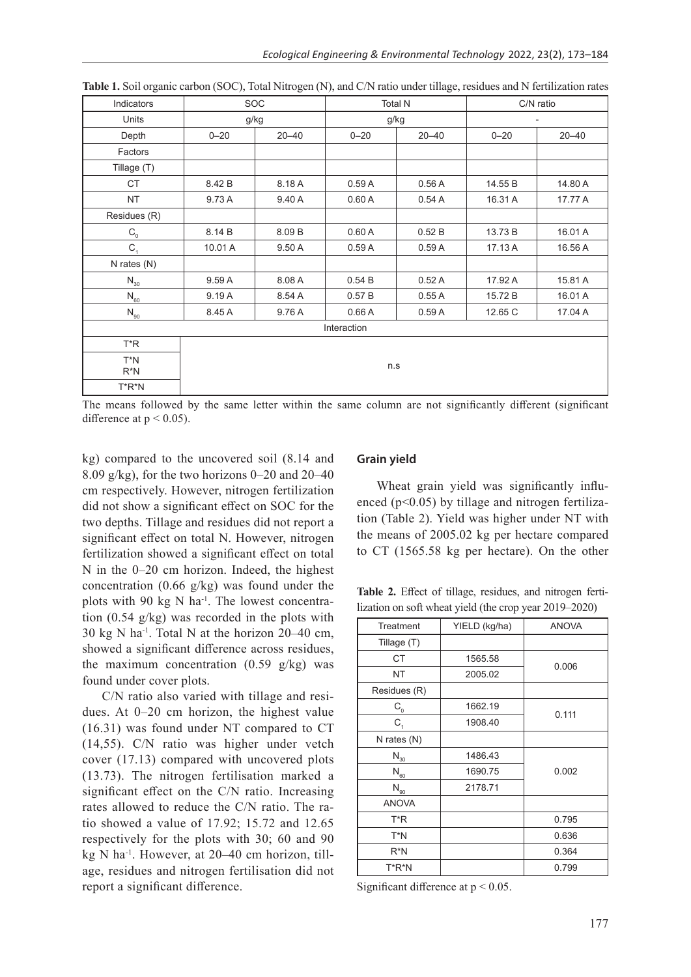| Indicators                            | <b>SOC</b> |           | <b>Total N</b> |           | C/N ratio |           |
|---------------------------------------|------------|-----------|----------------|-----------|-----------|-----------|
| Units                                 | g/kg       |           |                | g/kg      |           |           |
| Depth                                 | $0 - 20$   | $20 - 40$ | $0 - 20$       | $20 - 40$ | $0 - 20$  | $20 - 40$ |
| Factors                               |            |           |                |           |           |           |
| Tillage (T)                           |            |           |                |           |           |           |
| CT                                    | 8.42 B     | 8.18 A    | 0.59A          | 0.56A     | 14.55 B   | 14.80 A   |
| <b>NT</b>                             | 9.73 A     | 9.40 A    | 0.60A          | 0.54A     | 16.31 A   | 17.77 A   |
| Residues (R)                          |            |           |                |           |           |           |
| $C_{0}$                               | 8.14 B     | 8.09 B    | 0.60A          | 0.52B     | 13.73 B   | 16.01 A   |
| $C_{1}$                               | 10.01 A    | 9.50 A    | 0.59A          | 0.59A     | 17.13 A   | 16.56 A   |
| N rates (N)                           |            |           |                |           |           |           |
| $N_{30}$                              | 9.59 A     | 8.08 A    | 0.54B          | 0.52A     | 17.92 A   | 15.81 A   |
| $\mathsf{N}_{\scriptscriptstyle{60}}$ | 9.19A      | 8.54 A    | 0.57B          | 0.55A     | 15.72 B   | 16.01 A   |
| $\mathsf{N}_{\scriptscriptstyle{90}}$ | 8.45 A     | 9.76 A    | 0.66A          | 0.59A     | 12.65 C   | 17.04 A   |
| Interaction                           |            |           |                |           |           |           |
| T*R                                   |            |           |                |           |           |           |
| $T^*N$<br>$R^*N$                      | n.s        |           |                |           |           |           |
| $T^*R^*N$                             |            |           |                |           |           |           |

| Table 1. Soil organic carbon (SOC), Total Nitrogen (N), and C/N ratio under tillage, residues and N fertilization rates |  |
|-------------------------------------------------------------------------------------------------------------------------|--|
|-------------------------------------------------------------------------------------------------------------------------|--|

The means followed by the same letter within the same column are not significantly different (significant difference at  $p < 0.05$ ).

kg) compared to the uncovered soil (8.14 and 8.09 g/kg), for the two horizons  $0-20$  and  $20-40$ cm respectively. However, nitrogen fertilization did not show a significant effect on SOC for the two depths. Tillage and residues did not report a significant effect on total N. However, nitrogen fertilization showed a significant effect on total N in the 0–20 cm horizon. Indeed, the highest concentration (0.66  $g/kg$ ) was found under the plots with 90 kg  $N$  ha<sup>-1</sup>. The lowest concentration (0.54 g/kg) was recorded in the plots with 30 kg N ha<sup>-1</sup>. Total N at the horizon  $20-40$  cm, showed a significant difference across residues, the maximum concentration  $(0.59 \text{ g/kg})$  was found under cover plots.

C/N ratio also varied with tillage and residues. At 0–20 cm horizon, the highest value (16.31) was found under NT compared to CT (14,55). C/N ratio was higher under vetch cover (17.13) compared with uncovered plots (13.73). The nitrogen fertilisation marked a significant effect on the C/N ratio. Increasing rates allowed to reduce the C/N ratio. The ratio showed a value of 17.92; 15.72 and 12.65 respectively for the plots with 30; 60 and 90 kg N ha-1. However, at 20–40 cm horizon, tillage, residues and nitrogen fertilisation did not report a significant difference.

# **Grain yield**

Wheat grain yield was significantly influenced (p<0.05) by tillage and nitrogen fertilization (Table 2). Yield was higher under NT with the means of 2005.02 kg per hectare compared to CT (1565.58 kg per hectare). On the other

**Table 2.** Effect of tillage, residues, and nitrogen fertilization on soft wheat yield (the crop year 2019–2020)

| Treatment                             | YIELD (kg/ha) | <b>ANOVA</b> |  |
|---------------------------------------|---------------|--------------|--|
| Tillage (T)                           |               |              |  |
| <b>CT</b>                             | 1565.58       | 0.006        |  |
| <b>NT</b>                             | 2005.02       |              |  |
| Residues (R)                          |               |              |  |
| $C_{0}$                               | 1662.19       | 0.111        |  |
| $C_{1}$                               | 1908.40       |              |  |
| N rates (N)                           |               |              |  |
| $\mathsf{N}_{\underline{30}}$         | 1486.43       |              |  |
| $\mathsf{N}_{\scriptscriptstyle{60}}$ | 1690.75       | 0.002        |  |
| $\mathsf{N}_{\scriptscriptstyle{90}}$ | 2178.71       |              |  |
| <b>ANOVA</b>                          |               |              |  |
| T*R                                   |               | 0.795        |  |
| T*N                                   |               | 0.636        |  |
| R*N                                   |               | 0.364        |  |
| T*R*N                                 |               | 0.799        |  |

Significant difference at p < 0.05.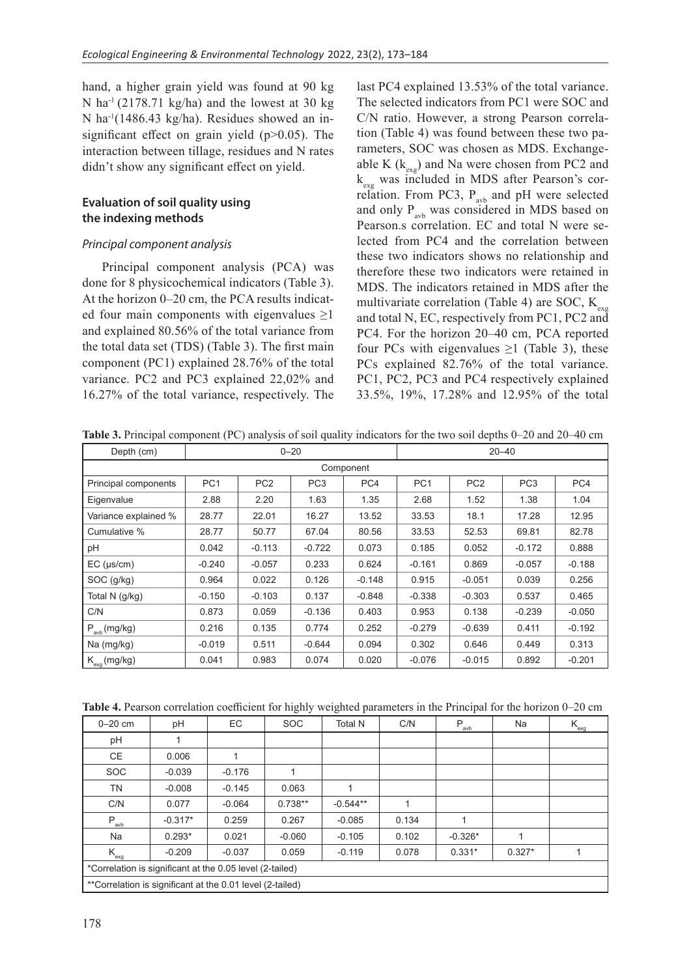hand, a higher grain yield was found at 90 kg N ha<sup>-1</sup> (2178.71 kg/ha) and the lowest at 30 kg N ha-1(1486.43 kg/ha). Residues showed an insignificant effect on grain yield  $(p>0.05)$ . The interaction between tillage, residues and N rates didn't show any significant effect on yield.

# **Evaluation of soil quality using the indexing methods**

# *Principal component analysis*

Principal component analysis (PCA) was done for 8 physicochemical indicators (Table 3). At the horizon 0–20 cm, the PCA results indicated four main components with eigenvalues ≥1 and explained 80.56% of the total variance from the total data set (TDS) (Table 3). The first main component (PC1) explained 28.76% of the total variance. PC2 and PC3 explained 22,02% and 16.27% of the total variance, respectively. The

last PC4 explained 13.53% of the total variance. The selected indicators from PC1 were SOC and C/N ratio. However, a strong Pearson correlation (Table 4) was found between these two parameters, SOC was chosen as MDS. Exchangeable K ( $k_{exg}$ ) and Na were chosen from PC2 and  $k_{\text{evo}}$  was included in MDS after Pearson's correlation. From PC3,  $P_{\text{avb}}$  and pH were selected and only  $P_{\text{sub}}$  was considered in MDS based on Pearson.s correlation. EC and total N were selected from PC4 and the correlation between these two indicators shows no relationship and therefore these two indicators were retained in MDS. The indicators retained in MDS after the multivariate correlation (Table 4) are SOC,  $K_{\text{exp}}$ and total N, EC, respectively from PC1, PC2 and PC4. For the horizon 20–40 cm, PCA reported four PCs with eigenvalues  $\geq 1$  (Table 3), these PCs explained 82.76% of the total variance. PC1, PC2, PC3 and PC4 respectively explained 33.5%, 19%, 17.28% and 12.95% of the total

**Table 3.** Principal component (PC) analysis of soil quality indicators for the two soil depths 0–20 and 20–40 cm

| Depth (cm)               | $0 - 20$<br>$20 - 40$ |                 |                 |          |                 |                 |                 |          |  |
|--------------------------|-----------------------|-----------------|-----------------|----------|-----------------|-----------------|-----------------|----------|--|
| Component                |                       |                 |                 |          |                 |                 |                 |          |  |
| Principal components     | PC <sub>1</sub>       | PC <sub>2</sub> | PC <sub>3</sub> | PC4      | PC <sub>1</sub> | PC <sub>2</sub> | PC <sub>3</sub> | PC4      |  |
| Eigenvalue               | 2.88                  | 2.20            | 1.63            | 1.35     | 2.68            | 1.52            | 1.38            | 1.04     |  |
| Variance explained %     | 28.77                 | 22.01           | 16.27           | 13.52    | 33.53           | 18.1            | 17.28           | 12.95    |  |
| Cumulative %             | 28.77                 | 50.77           | 67.04           | 80.56    | 33.53           | 52.53           | 69.81           | 82.78    |  |
| рH                       | 0.042                 | $-0.113$        | $-0.722$        | 0.073    | 0.185           | 0.052           | $-0.172$        | 0.888    |  |
| $EC$ ( $\mu$ s/cm)       | $-0.240$              | $-0.057$        | 0.233           | 0.624    | $-0.161$        | 0.869           | $-0.057$        | $-0.188$ |  |
| SOC (g/kg)               | 0.964                 | 0.022           | 0.126           | $-0.148$ | 0.915           | $-0.051$        | 0.039           | 0.256    |  |
| Total N (g/kg)           | $-0.150$              | $-0.103$        | 0.137           | $-0.848$ | $-0.338$        | $-0.303$        | 0.537           | 0.465    |  |
| C/N                      | 0.873                 | 0.059           | $-0.136$        | 0.403    | 0.953           | 0.138           | $-0.239$        | $-0.050$ |  |
| $P_{\text{avb}}$ (mg/kg) | 0.216                 | 0.135           | 0.774           | 0.252    | $-0.279$        | $-0.639$        | 0.411           | $-0.192$ |  |
| Na (mg/kg)               | $-0.019$              | 0.511           | $-0.644$        | 0.094    | 0.302           | 0.646           | 0.449           | 0.313    |  |
| $K_{\rm exa}$ (mg/kg)    | 0.041                 | 0.983           | 0.074           | 0.020    | $-0.076$        | $-0.015$        | 0.892           | $-0.201$ |  |

**Table 4.** Pearson correlation coefficient for highly weighted parameters in the Principal for the horizon 0–20 cm

| $0 - 20$ cm                                               | pH        | EC       | <b>SOC</b> | <b>Total N</b> | C/N   | $P_{\underline{\text{avb}}}$ | Na       | $K_{\underline{exg}}$ |
|-----------------------------------------------------------|-----------|----------|------------|----------------|-------|------------------------------|----------|-----------------------|
| pH                                                        |           |          |            |                |       |                              |          |                       |
| <b>CE</b>                                                 | 0.006     |          |            |                |       |                              |          |                       |
| <b>SOC</b>                                                | $-0.039$  | $-0.176$ | 1          |                |       |                              |          |                       |
| <b>TN</b>                                                 | $-0.008$  | $-0.145$ | 0.063      |                |       |                              |          |                       |
| C/N                                                       | 0.077     | $-0.064$ | $0.738**$  | $-0.544**$     | 1     |                              |          |                       |
| $P_{\underline{\text{avb}}}$                              | $-0.317*$ | 0.259    | 0.267      | $-0.085$       | 0.134 |                              |          |                       |
| Na                                                        | $0.293*$  | 0.021    | $-0.060$   | $-0.105$       | 0.102 | $-0.326*$                    |          |                       |
| $K_{\text{exg}}$                                          | $-0.209$  | $-0.037$ | 0.059      | $-0.119$       | 0.078 | $0.331*$                     | $0.327*$ |                       |
| *Correlation is significant at the 0.05 level (2-tailed)  |           |          |            |                |       |                              |          |                       |
| **Correlation is significant at the 0.01 level (2-tailed) |           |          |            |                |       |                              |          |                       |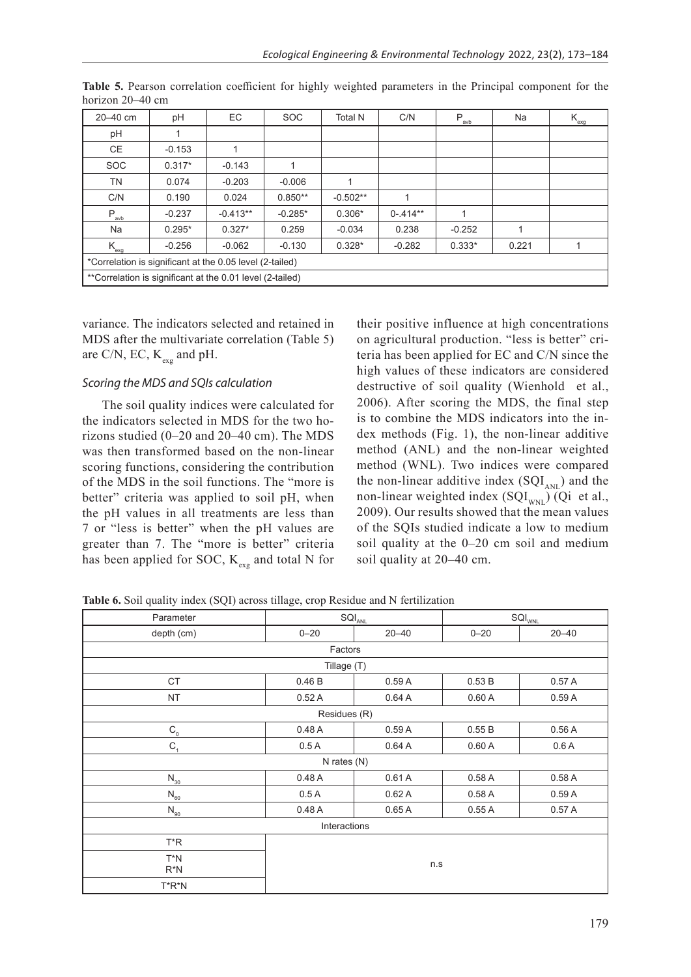| 20-40 cm                                                  | рH       | EC         | <b>SOC</b> | <b>Total N</b> | C/N         | $P_{\underline{\text{avb}}}$ | Na    | $K_{\underline{\text{exg}}}$ |
|-----------------------------------------------------------|----------|------------|------------|----------------|-------------|------------------------------|-------|------------------------------|
| pH                                                        |          |            |            |                |             |                              |       |                              |
| <b>CE</b>                                                 | $-0.153$ |            |            |                |             |                              |       |                              |
| <b>SOC</b>                                                | $0.317*$ | $-0.143$   |            |                |             |                              |       |                              |
| <b>TN</b>                                                 | 0.074    | $-0.203$   | $-0.006$   | $\mathbf{1}$   |             |                              |       |                              |
| C/N                                                       | 0.190    | 0.024      | $0.850**$  | $-0.502**$     |             |                              |       |                              |
| $P_{\underline{a}vb}$                                     | $-0.237$ | $-0.413**$ | $-0.285*$  | $0.306*$       | $0 - 414**$ | 1                            |       |                              |
| Na                                                        | $0.295*$ | $0.327*$   | 0.259      | $-0.034$       | 0.238       | $-0.252$                     |       |                              |
| $K_{\text{exq}}$                                          | $-0.256$ | $-0.062$   | $-0.130$   | $0.328*$       | $-0.282$    | $0.333*$                     | 0.221 |                              |
| *Correlation is significant at the 0.05 level (2-tailed)  |          |            |            |                |             |                              |       |                              |
| **Correlation is significant at the 0.01 level (2-tailed) |          |            |            |                |             |                              |       |                              |

**Table 5.** Pearson correlation coefficient for highly weighted parameters in the Principal component for the horizon 20–40 cm

variance. The indicators selected and retained in MDS after the multivariate correlation (Table 5) are C/N, EC,  $K_{\text{avg}}$  and pH.

# *Scoring the MDS and SQIs calculation*

The soil quality indices were calculated for the indicators selected in MDS for the two horizons studied (0–20 and 20–40 cm). The MDS was then transformed based on the non-linear scoring functions, considering the contribution of the MDS in the soil functions. The "more is better" criteria was applied to soil pH, when the pH values in all treatments are less than 7 or "less is better" when the pH values are greater than 7. The "more is better" criteria has been applied for SOC,  $K_{\text{exg}}$  and total N for

their positive influence at high concentrations on agricultural production. "less is better" criteria has been applied for EC and C/N since the high values of these indicators are considered destructive of soil quality (Wienhold et al., 2006). After scoring the MDS, the final step is to combine the MDS indicators into the index methods (Fig. 1), the non-linear additive method (ANL) and the non-linear weighted method (WNL). Two indices were compared the non-linear additive index  $(SQI_{ANI})$  and the non-linear weighted index  $(SQI<sub>WNI</sub>)$  (Qi et al., 2009). Our results showed that the mean values of the SQIs studied indicate a low to medium soil quality at the 0–20 cm soil and medium soil quality at 20–40 cm.

Parameter SQI<sub>ANL</sub> SQI<sub>ANL</sub> SQI<sub>ANL</sub> SQI<sub>WNL</sub> depth (cm) 0–20 20–40 0–20 20–40 Factors Tillage (T)  $\begin{array}{|c|c|c|c|c|c|}\hline \text{CT} & \hspace{1.5cm} & 0.46 \text{ B} & \hspace{1.5cm} & 0.59 \text{ A} & \hspace{1.5cm} & 0.53 \text{ B} & \hspace{1.5cm} & 0.57 \text{ A} \ \hline \end{array}$ NT 0.52 A 0.64 A 0.60 A 0.59 A Residues (R)  $\mathsf{C}^{}_{\!0}$  , and the contract of the contract of the contract of the contract of the contract of the contract of the contract of the contract of the contract of the contract of the contract of the contract of the con  $\mathsf{C}^{}_{\!{}_1} \qquad \qquad \begin{array}{c|c|c|c|c|c} \mathsf{0.5A} & & \mathsf{0.64A} & & \mathsf{0.60A} & & \mathsf{0.66A} \end{array}$ N rates (N) N<sub>30</sub> | 0.48 A | 0.61 A | 0.58 A | 0.58 A  ${\sf N}_{_{60}}$   $\hskip1cm \vert \qquad 0.5{\sf A} \qquad \vert \qquad 0.62{\sf A} \qquad \vert \qquad 0.58{\sf A} \qquad \vert \qquad 0.59{\sf A}$  ${\sf N}_{_{90}}$  , and the contract of the contract of the contract of the contract of the contract of the contract of the contract of the contract of the contract of the contract of the contract of the contract of the contract Interactions T\*R n.s T\*N R\*N T\*R\*N

**Table 6.** Soil quality index (SQI) across tillage, crop Residue and N fertilization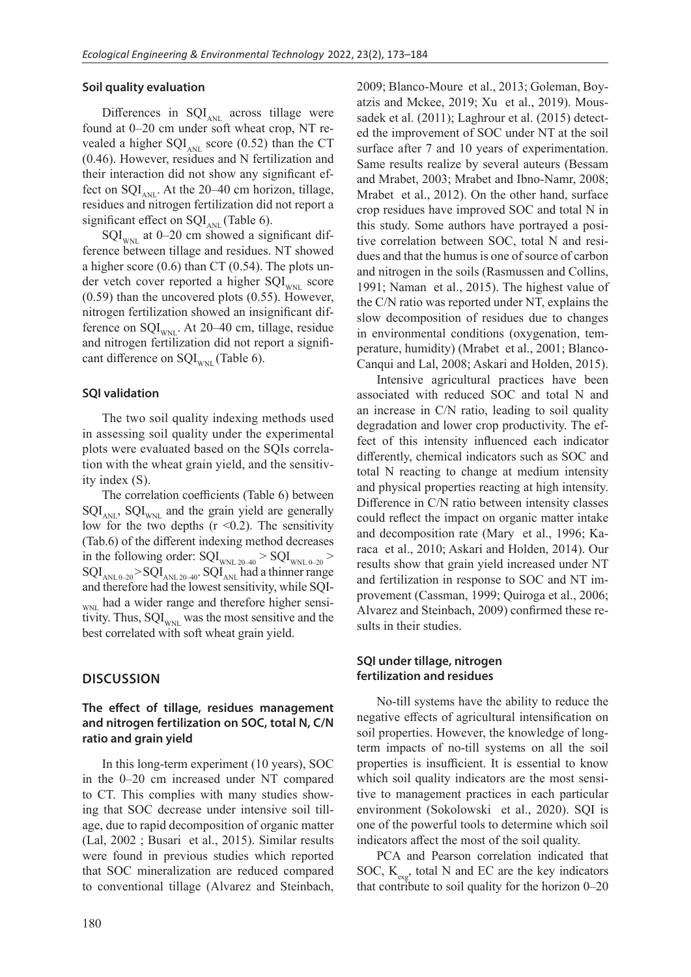# **Soil quality evaluation**

Differences in  $SQL_{ANL}$  across tillage were found at 0–20 cm under soft wheat crop, NT revealed a higher  $SQL_{ANL}$  score (0.52) than the CT (0.46). However, residues and N fertilization and their interaction did not show any significant effect on  $SQL_{ANL}$ . At the 20–40 cm horizon, tillage, residues and nitrogen fertilization did not report a significant effect on  $SQL_{ANL}$  (Table 6).

 $SQL_{\text{WNL}}$  at 0–20 cm showed a significant difference between tillage and residues. NT showed a higher score (0.6) than CT (0.54). The plots under vetch cover reported a higher  $SQL_{WNI}$  score (0.59) than the uncovered plots (0.55). However, nitrogen fertilization showed an insignificant difference on  $SQL_{\text{w}N}$ . At 20–40 cm, tillage, residue and nitrogen fertilization did not report a significant difference on  $SQL_{WNI}$  (Table 6).

#### **SQI validation**

The two soil quality indexing methods used in assessing soil quality under the experimental plots were evaluated based on the SQIs correlation with the wheat grain yield, and the sensitivity index (S).

The correlation coefficients (Table 6) between  $\text{SQL}_{\text{ANL}}$ ,  $\text{SQL}_{\text{WNL}}$  and the grain yield are generally low for the two depths  $(r \le 0.2)$ . The sensitivity (Tab.6) of the different indexing method decreases in the following order:  $SQL_{\text{WNL 20-40}}$  >  $SQL_{\text{WNL 0-20}}$  >  $\text{SQL}_{\text{ANLO-20}} > \text{SQL}_{\text{ANLO-40}}$ .  $\text{SQL}_{\text{ANLO-40}}^{\text{INLO-20}}$  had a thinner range and therefore had the lowest sensitivity, while SQI-WNL had a wider range and therefore higher sensitivity. Thus,  $SQL_{\text{WNL}}$  was the most sensitive and the best correlated with soft wheat grain yield.

# **DISCUSSION**

# **The effect of tillage, residues management and nitrogen fertilization on SOC, total N, C/N ratio and grain yield**

In this long-term experiment (10 years), SOC in the 0–20 cm increased under NT compared to CT. This complies with many studies showing that SOC decrease under intensive soil tillage, due to rapid decomposition of organic matter (Lal, 2002 ; Busari et al., 2015). Similar results were found in previous studies which reported that SOC mineralization are reduced compared to conventional tillage (Alvarez and Steinbach, 2009; Blanco-Moure et al., 2013; Goleman, Boyatzis and Mckee, 2019; Xu et al., 2019). Moussadek et al. (2011); Laghrour et al. (2015) detected the improvement of SOC under NT at the soil surface after 7 and 10 years of experimentation. Same results realize by several auteurs (Bessam and Mrabet, 2003; Mrabet and Ibno-Namr, 2008; Mrabet et al., 2012). On the other hand, surface crop residues have improved SOC and total N in this study. Some authors have portrayed a positive correlation between SOC, total N and residues and that the humus is one of source of carbon and nitrogen in the soils (Rasmussen and Collins, 1991; Naman et al., 2015). The highest value of the C/N ratio was reported under NT, explains the slow decomposition of residues due to changes in environmental conditions (oxygenation, temperature, humidity) (Mrabet et al., 2001; Blanco-Canqui and Lal, 2008; Askari and Holden, 2015).

Intensive agricultural practices have been associated with reduced SOC and total N and an increase in C/N ratio, leading to soil quality degradation and lower crop productivity. The effect of this intensity influenced each indicator differently, chemical indicators such as SOC and total N reacting to change at medium intensity and physical properties reacting at high intensity. Difference in C/N ratio between intensity classes could reflect the impact on organic matter intake and decomposition rate (Mary et al., 1996; Karaca et al., 2010; Askari and Holden, 2014). Our results show that grain yield increased under NT and fertilization in response to SOC and NT improvement (Cassman, 1999; Quiroga et al., 2006; Alvarez and Steinbach, 2009) confirmed these results in their studies.

# **SQI under tillage, nitrogen fertilization and residues**

No-till systems have the ability to reduce the negative effects of agricultural intensification on soil properties. However, the knowledge of longterm impacts of no-till systems on all the soil properties is insufficient. It is essential to know which soil quality indicators are the most sensitive to management practices in each particular environment (Sokolowski et al., 2020). SQI is one of the powerful tools to determine which soil indicators affect the most of the soil quality.

PCA and Pearson correlation indicated that SOC,  $K_{\text{av}}$ , total N and EC are the key indicators that contribute to soil quality for the horizon 0–20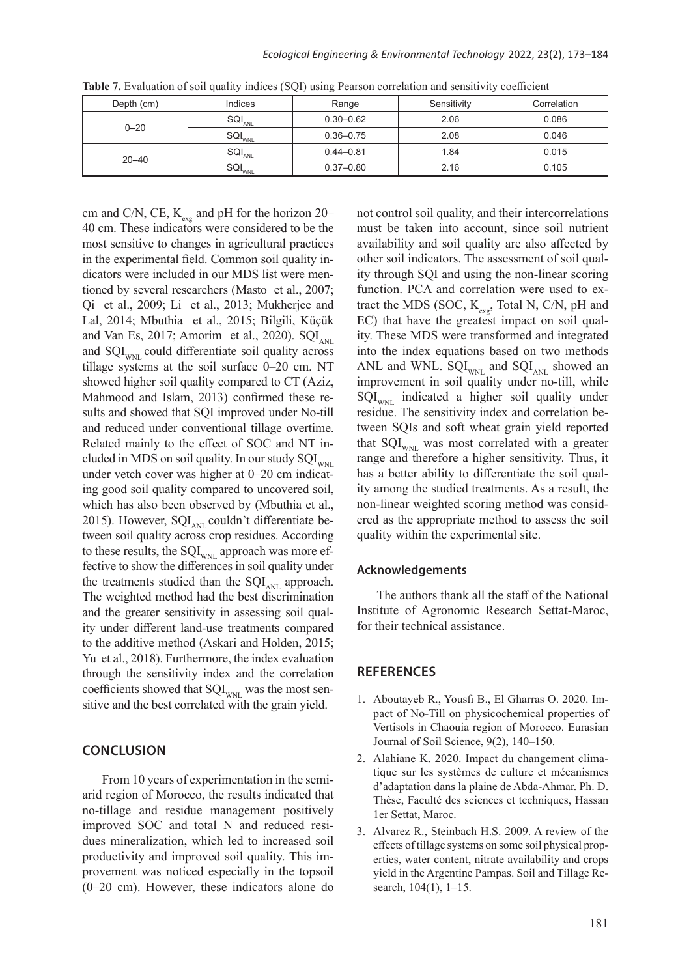| Depth (cm) | Indices                       | Range         | Sensitivity |       |
|------------|-------------------------------|---------------|-------------|-------|
| $0 - 20$   | $\textsf{SQL}_{\textsf{ANL}}$ | $0.30 - 0.62$ | 2.06        | 0.086 |
|            | <b>SQI<sub>WNL</sub></b>      | $0.36 - 0.75$ | 2.08        | 0.046 |
|            | $\mathsf{SQL}_{\mathsf{ANL}}$ | $0.44 - 0.81$ | 1.84        | 0.015 |
| $20 - 40$  | SQI <sub>WNL</sub>            | $0.37 - 0.80$ | 2.16        | 0.105 |

**Table 7.** Evaluation of soil quality indices (SQI) using Pearson correlation and sensitivity coefficient

cm and C/N, CE,  $K_{\text{exg}}$  and pH for the horizon 20– 40 cm. These indicators were considered to be the most sensitive to changes in agricultural practices in the experimental field. Common soil quality indicators were included in our MDS list were mentioned by several researchers (Masto et al., 2007; Qi et al., 2009; Li et al., 2013; Mukherjee and Lal, 2014; Mbuthia et al., 2015; Bilgili, Küçük and Van Es, 2017; Amorim et al., 2020).  $SQL_{\text{AM}}$ and  $\text{SQL}_{\text{wnt}}$  could differentiate soil quality across tillage systems at the soil surface 0–20 cm. NT showed higher soil quality compared to CT (Aziz, Mahmood and Islam, 2013) confirmed these results and showed that SQI improved under No-till and reduced under conventional tillage overtime. Related mainly to the effect of SOC and NT included in MDS on soil quality. In our study  $SQL_{\text{wNI}}$ under vetch cover was higher at 0–20 cm indicating good soil quality compared to uncovered soil, which has also been observed by (Mbuthia et al., 2015). However,  $SQL_{ANL}$  couldn't differentiate between soil quality across crop residues. According to these results, the  $SQL_{WNI}$  approach was more effective to show the differences in soil quality under the treatments studied than the  $SQL_{ANL}$  approach. The weighted method had the best discrimination and the greater sensitivity in assessing soil quality under different land-use treatments compared to the additive method (Askari and Holden, 2015; Yu et al., 2018). Furthermore, the index evaluation through the sensitivity index and the correlation coefficients showed that  $SQL_{\text{WNL}}$  was the most sensitive and the best correlated with the grain yield.

# **CONCLUSION**

From 10 years of experimentation in the semiarid region of Morocco, the results indicated that no-tillage and residue management positively improved SOC and total N and reduced residues mineralization, which led to increased soil productivity and improved soil quality. This improvement was noticed especially in the topsoil (0–20 cm). However, these indicators alone do not control soil quality, and their intercorrelations must be taken into account, since soil nutrient availability and soil quality are also affected by other soil indicators. The assessment of soil quality through SQI and using the non-linear scoring function. PCA and correlation were used to extract the MDS (SOC,  $K_{\text{exp}}$ , Total N, C/N, pH and EC) that have the greatest impact on soil quality. These MDS were transformed and integrated into the index equations based on two methods ANL and WNL.  $\text{SQL}_{\text{WNL}}$  and  $\text{SQL}_{\text{ANL}}$  showed an improvement in soil quality under no-till, while  $SQL_{\text{WNL}}$  indicated a higher soil quality under residue. The sensitivity index and correlation between SQIs and soft wheat grain yield reported that  $SQL_{\text{WNL}}$  was most correlated with a greater range and therefore a higher sensitivity. Thus, it has a better ability to differentiate the soil quality among the studied treatments. As a result, the non-linear weighted scoring method was considered as the appropriate method to assess the soil quality within the experimental site.

#### **Acknowledgements**

The authors thank all the staff of the National Institute of Agronomic Research Settat-Maroc, for their technical assistance.

#### **REFERENCES**

- 1. Aboutayeb R., Yousfi B., El Gharras O. 2020. Impact of No-Till on physicochemical properties of Vertisols in Chaouia region of Morocco. Eurasian Journal of Soil Science, 9(2), 140–150.
- 2. Alahiane K. 2020. Impact du changement climatique sur les systèmes de culture et mécanismes d'adaptation dans la plaine de Abda-Ahmar. Ph. D. Thèse, Faculté des sciences et techniques, Hassan 1er Settat, Maroc.
- 3. Alvarez R., Steinbach H.S. 2009. A review of the effects of tillage systems on some soil physical properties, water content, nitrate availability and crops yield in the Argentine Pampas. Soil and Tillage Research, 104(1), 1–15.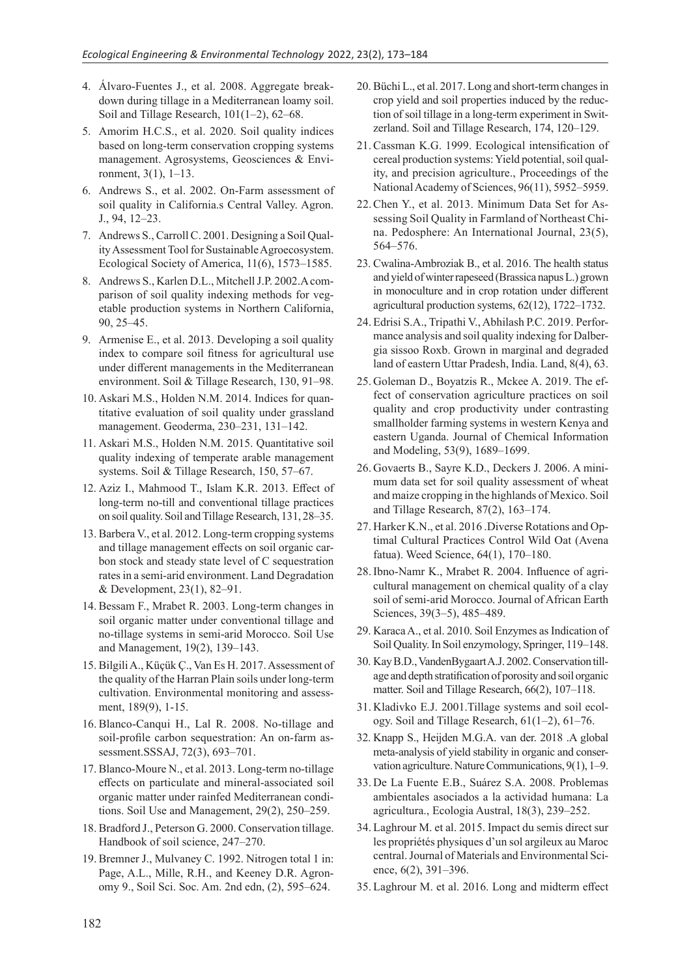- 4. Álvaro-Fuentes J., et al. 2008. Aggregate breakdown during tillage in a Mediterranean loamy soil. Soil and Tillage Research, 101(1–2), 62–68.
- 5. Amorim H.C.S., et al. 2020. Soil quality indices based on long‐term conservation cropping systems management. Agrosystems, Geosciences & Environment, 3(1), 1–13.
- 6. Andrews S., et al. 2002. On-Farm assessment of soil quality in California.s Central Valley. Agron. J., 94, 12–23.
- 7. Andrews S., Carroll C. 2001. Designing a Soil Quality Assessment Tool for Sustainable Agroecosystem. Ecological Society of America, 11(6), 1573–1585.
- 8. Andrews S., Karlen D.L., Mitchell J.P. 2002.A comparison of soil quality indexing methods for vegetable production systems in Northern California, 90, 25–45.
- 9. Armenise E., et al. 2013. Developing a soil quality index to compare soil fitness for agricultural use under different managements in the Mediterranean environment. Soil & Tillage Research, 130, 91–98.
- 10. Askari M.S., Holden N.M. 2014. Indices for quantitative evaluation of soil quality under grassland management. Geoderma, 230–231, 131–142.
- 11. Askari M.S., Holden N.M. 2015. Quantitative soil quality indexing of temperate arable management systems. Soil & Tillage Research, 150, 57–67.
- 12. Aziz I., Mahmood T., Islam K.R. 2013. Effect of long-term no-till and conventional tillage practices on soil quality. Soil and Tillage Research, 131, 28–35.
- 13. Barbera V., et al. 2012. Long-term cropping systems and tillage management effects on soil organic carbon stock and steady state level of C sequestration rates in a semi-arid environment. Land Degradation & Development, 23(1), 82–91.
- 14. Bessam F., Mrabet R. 2003. Long-term changes in soil organic matter under conventional tillage and no-tillage systems in semi-arid Morocco. Soil Use and Management, 19(2), 139–143.
- 15. Bilgili A., Küçük Ç., Van Es H. 2017. Assessment of the quality of the Harran Plain soils under long-term cultivation. Environmental monitoring and assessment, 189(9), 1-15.
- 16.Blanco-Canqui H., Lal R. 2008. No-tillage and soil-profile carbon sequestration: An on-farm assessment.SSSAJ, 72(3), 693–701.
- 17. Blanco-Moure N., et al. 2013. Long-term no-tillage effects on particulate and mineral-associated soil organic matter under rainfed Mediterranean conditions. Soil Use and Management, 29(2), 250–259.
- 18. Bradford J., Peterson G. 2000. Conservation tillage. Handbook of soil science, 247–270.
- 19. Bremner J., Mulvaney C. 1992. Nitrogen total 1 in: Page, A.L., Mille, R.H., and Keeney D.R. Agronomy 9., Soil Sci. Soc. Am. 2nd edn, (2), 595–624.
- 20. Büchi L., et al. 2017. Long and short-term changes in crop yield and soil properties induced by the reduction of soil tillage in a long-term experiment in Switzerland. Soil and Tillage Research, 174, 120–129.
- 21. Cassman K.G. 1999. Ecological intensification of cereal production systems: Yield potential, soil quality, and precision agriculture., Proceedings of the National Academy of Sciences, 96(11), 5952–5959.
- 22.Chen Y., et al. 2013. Minimum Data Set for Assessing Soil Quality in Farmland of Northeast China. Pedosphere: An International Journal, 23(5), 564–576.
- 23. Cwalina-Ambroziak B., et al. 2016. The health status and yield of winter rapeseed (Brassica napus L.) grown in monoculture and in crop rotation under different agricultural production systems, 62(12), 1722–1732.
- 24. Edrisi S.A., Tripathi V., Abhilash P.C. 2019. Performance analysis and soil quality indexing for Dalbergia sissoo Roxb. Grown in marginal and degraded land of eastern Uttar Pradesh, India. Land, 8(4), 63.
- 25. Goleman D., Boyatzis R., Mckee A. 2019. The effect of conservation agriculture practices on soil quality and crop productivity under contrasting smallholder farming systems in western Kenya and eastern Uganda. Journal of Chemical Information and Modeling, 53(9), 1689–1699.
- 26. Govaerts B., Sayre K.D., Deckers J. 2006. A minimum data set for soil quality assessment of wheat and maize cropping in the highlands of Mexico. Soil and Tillage Research, 87(2), 163–174.
- 27. Harker K.N., et al. 2016 .Diverse Rotations and Optimal Cultural Practices Control Wild Oat (Avena fatua). Weed Science, 64(1), 170–180.
- 28. Ibno-Namr K., Mrabet R. 2004. Influence of agricultural management on chemical quality of a clay soil of semi-arid Morocco. Journal of African Earth Sciences, 39(3–5), 485–489.
- 29. Karaca A., et al. 2010. Soil Enzymes as Indication of Soil Quality. In Soil enzymology, Springer, 119–148.
- 30. Kay B.D., VandenBygaart A.J. 2002. Conservation tillage and depth stratification of porosity and soil organic matter. Soil and Tillage Research, 66(2), 107–118.
- 31. Kladivko E.J. 2001.Tillage systems and soil ecology. Soil and Tillage Research, 61(1–2), 61–76.
- 32. Knapp S., Heijden M.G.A. van der. 2018 .A global meta-analysis of yield stability in organic and conservation agriculture. Nature Communications, 9(1), 1–9.
- 33. De La Fuente E.B., Suárez S.A. 2008. Problemas ambientales asociados a la actividad humana: La agricultura., Ecologia Austral, 18(3), 239–252.
- 34. Laghrour M. et al. 2015. Impact du semis direct sur les propriétés physiques d'un sol argileux au Maroc central. Journal of Materials and Environmental Science, 6(2), 391–396.
- 35. Laghrour M. et al. 2016. Long and midterm effect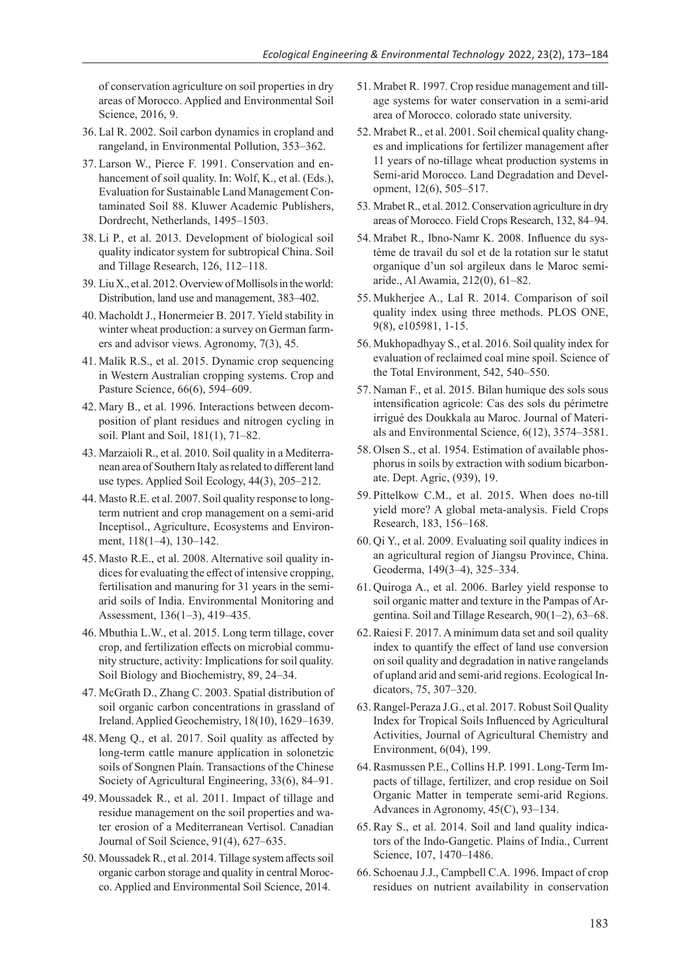of conservation agriculture on soil properties in dry areas of Morocco. Applied and Environmental Soil Science, 2016, 9.

- 36. Lal R. 2002. Soil carbon dynamics in cropland and rangeland, in Environmental Pollution, 353–362.
- 37. Larson W., Pierce F. 1991. Conservation and enhancement of soil quality. In: Wolf, K., et al. (Eds.), Evaluation for Sustainable Land Management Contaminated Soil 88. Kluwer Academic Publishers, Dordrecht, Netherlands, 1495–1503.
- 38. Li P., et al. 2013. Development of biological soil quality indicator system for subtropical China. Soil and Tillage Research, 126, 112–118.
- 39. Liu X., et al. 2012. Overview of Mollisols in the world: Distribution, land use and management, 383–402.
- 40. Macholdt J., Honermeier B. 2017. Yield stability in winter wheat production: a survey on German farmers and advisor views. Agronomy, 7(3), 45.
- 41. Malik R.S., et al. 2015. Dynamic crop sequencing in Western Australian cropping systems. Crop and Pasture Science, 66(6), 594–609.
- 42. Mary B., et al. 1996. Interactions between decomposition of plant residues and nitrogen cycling in soil. Plant and Soil, 181(1), 71–82.
- 43. Marzaioli R., et al. 2010. Soil quality in a Mediterranean area of Southern Italy as related to different land use types. Applied Soil Ecology, 44(3), 205–212.
- 44. Masto R.E. et al. 2007. Soil quality response to longterm nutrient and crop management on a semi-arid Inceptisol., Agriculture, Ecosystems and Environment, 118(1–4), 130–142.
- 45. Masto R.E., et al. 2008. Alternative soil quality indices for evaluating the effect of intensive cropping, fertilisation and manuring for 31 years in the semiarid soils of India. Environmental Monitoring and Assessment, 136(1–3), 419–435.
- 46. Mbuthia L.W., et al. 2015. Long term tillage, cover crop, and fertilization effects on microbial community structure, activity: Implications for soil quality. Soil Biology and Biochemistry, 89, 24–34.
- 47. McGrath D., Zhang C. 2003. Spatial distribution of soil organic carbon concentrations in grassland of Ireland. Applied Geochemistry, 18(10), 1629–1639.
- 48. Meng Q., et al. 2017. Soil quality as affected by long-term cattle manure application in solonetzic soils of Songnen Plain. Transactions of the Chinese Society of Agricultural Engineering, 33(6), 84–91.
- 49. Moussadek R., et al. 2011. Impact of tillage and residue management on the soil properties and water erosion of a Mediterranean Vertisol. Canadian Journal of Soil Science, 91(4), 627–635.
- 50. Moussadek R., et al. 2014. Tillage system affects soil organic carbon storage and quality in central Morocco. Applied and Environmental Soil Science, 2014.
- 51. Mrabet R. 1997. Crop residue management and tillage systems for water conservation in a semi-arid area of Morocco. colorado state university.
- 52. Mrabet R., et al. 2001. Soil chemical quality changes and implications for fertilizer management after 11 years of no-tillage wheat production systems in Semi-arid Morocco. Land Degradation and Development, 12(6), 505–517.
- 53. Mrabet R., et al. 2012. Conservation agriculture in dry areas of Morocco. Field Crops Research, 132, 84–94.
- 54. Mrabet R., Ibno-Namr K. 2008. Influence du système de travail du sol et de la rotation sur le statut organique d'un sol argileux dans le Maroc semiaride., Al Awamia, 212(0), 61–82.
- 55. Mukherjee A., Lal R. 2014. Comparison of soil quality index using three methods. PLOS ONE, 9(8), e105981, 1-15.
- 56. Mukhopadhyay S., et al. 2016. Soil quality index for evaluation of reclaimed coal mine spoil. Science of the Total Environment, 542, 540–550.
- 57. Naman F., et al. 2015. Bilan humique des sols sous intensification agricole: Cas des sols du périmetre irrigué des Doukkala au Maroc. Journal of Materials and Environmental Science, 6(12), 3574–3581.
- 58. Olsen S., et al. 1954. Estimation of available phosphorus in soils by extraction with sodium bicarbonate. Dept. Agric, (939), 19.
- 59. Pittelkow C.M., et al. 2015. When does no-till yield more? A global meta-analysis. Field Crops Research, 183, 156–168.
- 60. Qi Y., et al. 2009. Evaluating soil quality indices in an agricultural region of Jiangsu Province, China. Geoderma, 149(3–4), 325–334.
- 61. Quiroga A., et al. 2006. Barley yield response to soil organic matter and texture in the Pampas of Argentina. Soil and Tillage Research, 90(1–2), 63–68.
- 62. Raiesi F. 2017. A minimum data set and soil quality index to quantify the effect of land use conversion on soil quality and degradation in native rangelands of upland arid and semi-arid regions. Ecological Indicators, 75, 307–320.
- 63. Rangel-Peraza J.G., et al. 2017. Robust Soil Quality Index for Tropical Soils Influenced by Agricultural Activities, Journal of Agricultural Chemistry and Environment, 6(04), 199.
- 64. Rasmussen P.E., Collins H.P. 1991. Long-Term Impacts of tillage, fertilizer, and crop residue on Soil Organic Matter in temperate semi-arid Regions. Advances in Agronomy, 45(C), 93–134.
- 65.Ray S., et al. 2014. Soil and land quality indicators of the Indo-Gangetic. Plains of India., Current Science, 107, 1470–1486.
- 66. Schoenau J.J., Campbell C.A. 1996. Impact of crop residues on nutrient availability in conservation